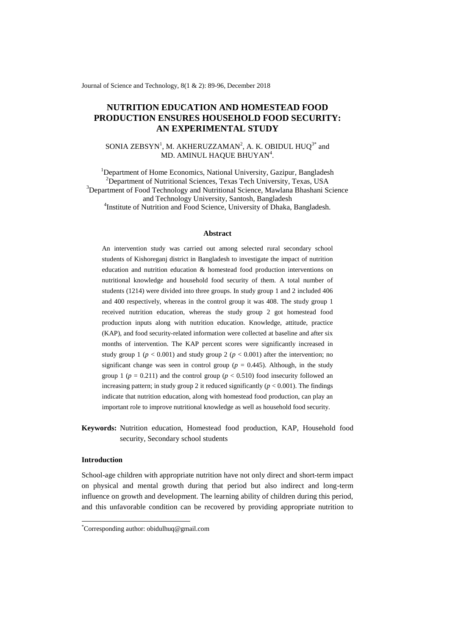Journal of Science and Technology, 8(1 & 2): 89-96, December 2018

# **NUTRITION EDUCATION AND HOMESTEAD FOOD PRODUCTION ENSURES HOUSEHOLD FOOD SECURITY: AN EXPERIMENTAL STUDY**

## SONIA ZEBSYN<sup>1</sup>, M. AKHERUZZAMAN<sup>2</sup>, A. K. OBIDUL HUQ<sup>3\*</sup> and MD. AMINUL HAQUE BHUYAN<sup>4</sup>.

<sup>1</sup>Department of Home Economics, National University, Gazipur, Bangladesh <sup>2</sup>Department of Nutritional Sciences, Texas Tech University, Texas, USA <sup>3</sup>Department of Food Technology and Nutritional Science, Mawlana Bhashani Science and Technology University, Santosh, Bangladesh <sup>4</sup>Institute of Nutrition and Food Science, University of Dhaka, Bangladesh.

#### **Abstract**

An intervention study was carried out among selected rural secondary school students of Kishoreganj district in Bangladesh to investigate the impact of nutrition education and nutrition education & homestead food production interventions on nutritional knowledge and household food security of them. A total number of students (1214) were divided into three groups. In study group 1 and 2 included 406 and 400 respectively, whereas in the control group it was 408. The study group 1 received nutrition education, whereas the study group 2 got homestead food production inputs along with nutrition education. Knowledge, attitude, practice (KAP), and food security-related information were collected at baseline and after six months of intervention. The KAP percent scores were significantly increased in study group 1 ( $p < 0.001$ ) and study group 2 ( $p < 0.001$ ) after the intervention; no significant change was seen in control group ( $p = 0.445$ ). Although, in the study group 1 ( $p = 0.211$ ) and the control group ( $p < 0.510$ ) food insecurity followed an increasing pattern; in study group 2 it reduced significantly  $(p < 0.001)$ . The findings indicate that nutrition education, along with homestead food production, can play an important role to improve nutritional knowledge as well as household food security.

**Keywords:** Nutrition education, Homestead food production, KAP, Household food security, Secondary school students

## **Introduction**

-

School-age children with appropriate nutrition have not only direct and short-term impact on physical and mental growth during that period but also indirect and long-term influence on growth and development. The learning ability of children during this period, and this unfavorable condition can be recovered by providing appropriate nutrition to

<sup>\*</sup>Corresponding author: obidulhuq@gmail.com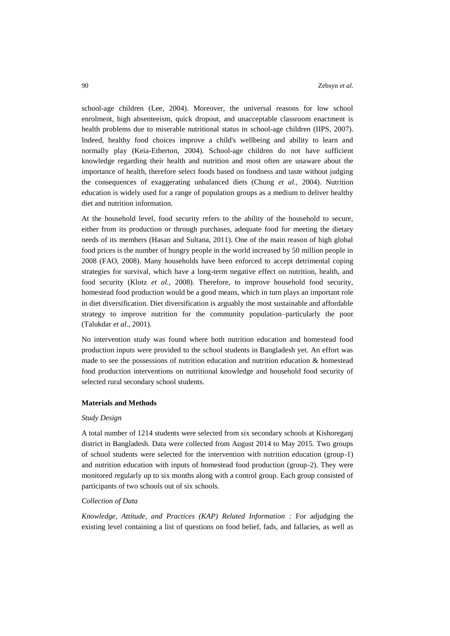school-age children (Lee, 2004). Moreover, the universal reasons for low school enrolment, high absenteeism, quick dropout, and unacceptable classroom enactment is health problems due to miserable nutritional status in school-age children (IIPS, 2007). Indeed, healthy food choices improve a child's wellbeing and ability to learn and normally play (Keia-Etherton, 2004). School-age children do not have sufficient knowledge regarding their health and nutrition and most often are unaware about the importance of health, therefore select foods based on fondness and taste without judging the consequences of exaggerating unbalanced diets (Chung *et al.,* 2004). Nutrition education is widely used for a range of population groups as a medium to deliver healthy diet and nutrition information.

At the household level, food security refers to the ability of the household to secure, either from its production or through purchases, adequate food for meeting the dietary needs of its members (Hasan and Sultana, 2011). One of the main reason of high global food prices is the number of hungry people in the world increased by 50 million people in 2008 (FAO, 2008). Many households have been enforced to accept detrimental coping strategies for survival, which have a long-term negative effect on nutrition, health, and food security (Klotz *et al.,* 2008). Therefore, to improve household food security, homestead food production would be a good means, which in turn plays an important role in diet diversification. Diet diversification is arguably the most sustainable and affordable strategy to improve nutrition for the community population–particularly the poor (Talukdar *et al.,* 2001).

No intervention study was found where both nutrition education and homestead food production inputs were provided to the school students in Bangladesh yet. An effort was made to see the possessions of nutrition education and nutrition education & homestead food production interventions on nutritional knowledge and household food security of selected rural secondary school students.

## **Materials and Methods**

#### *Study Design*

A total number of 1214 students were selected from six secondary schools at Kishoreganj district in Bangladesh. Data were collected from August 2014 to May 2015. Two groups of school students were selected for the intervention with nutrition education (group-1) and nutrition education with inputs of homestead food production (group-2). They were monitored regularly up to six months along with a control group. Each group consisted of participants of two schools out of six schools.

### *Collection of Data*

*Knowledge, Attitude, and Practices (KAP) Related Information :* For adjudging the existing level containing a list of questions on food belief, fads, and fallacies, as well as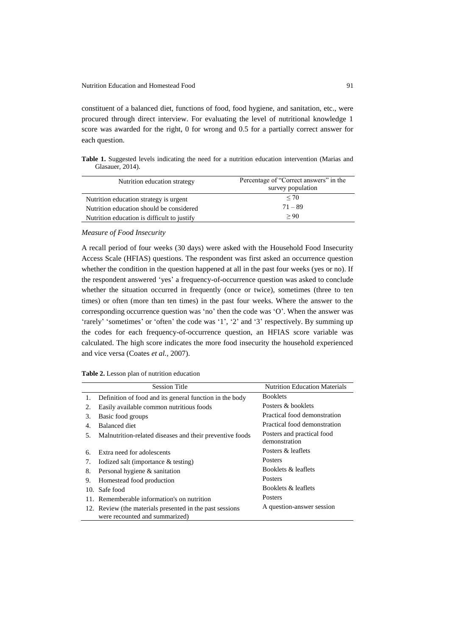constituent of a balanced diet, functions of food, food hygiene, and sanitation, etc., were procured through direct interview. For evaluating the level of nutritional knowledge 1 score was awarded for the right, 0 for wrong and 0.5 for a partially correct answer for each question.

**Table 1.** Suggested levels indicating the need for a nutrition education intervention (Marias and Glasauer, 2014).

| Nutrition education strategy                | Percentage of "Correct answers" in the<br>survey population |
|---------------------------------------------|-------------------------------------------------------------|
| Nutrition education strategy is urgent      | $\leq 70$                                                   |
| Nutrition education should be considered    | $71 - 89$                                                   |
| Nutrition education is difficult to justify | > 90                                                        |

### *Measure of Food Insecurity*

A recall period of four weeks (30 days) were asked with the Household Food Insecurity Access Scale (HFIAS) questions. The respondent was first asked an occurrence question whether the condition in the question happened at all in the past four weeks (yes or no). If the respondent answered "yes" a frequency-of-occurrence question was asked to conclude whether the situation occurred in frequently (once or twice), sometimes (three to ten times) or often (more than ten times) in the past four weeks. Where the answer to the corresponding occurrence question was "no" then the code was "O". When the answer was 'rarely' 'sometimes' or 'often' the code was '1', '2' and '3' respectively. By summing up the codes for each frequency-of-occurrence question, an HFIAS score variable was calculated. The high score indicates the more food insecurity the household experienced and vice versa (Coates *et al.,* 2007).

|     | <b>Session Title</b>                                      | <b>Nutrition Education Materials</b>        |
|-----|-----------------------------------------------------------|---------------------------------------------|
| 1.  | Definition of food and its general function in the body   | <b>Booklets</b>                             |
| 2.  | Easily available common nutritious foods                  | Posters & booklets                          |
| 3.  | Basic food groups                                         | Practical food demonstration                |
| 4.  | Balanced diet                                             | Practical food demonstration                |
| 5.  | Malnutrition-related diseases and their preventive foods  | Posters and practical food<br>demonstration |
| 6.  | Extra need for adolescents                                | Posters & leaflets                          |
| 7.  | Iodized salt (importance $&$ testing)                     | <b>Posters</b>                              |
| 8.  | Personal hygiene & sanitation                             | Booklets & leaflets                         |
| 9.  | Homestead food production                                 | <b>Posters</b>                              |
| 10. | Safe food                                                 | Booklets & leaflets                         |
|     | 11. Rememberable information's on nutrition               | <b>Posters</b>                              |
|     | 12. Review (the materials presented in the past sessions) | A question-answer session                   |
|     | were recounted and summarized)                            |                                             |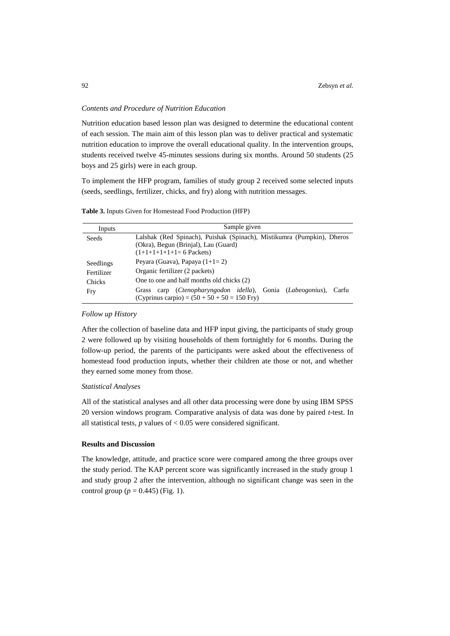### *Contents and Procedure of Nutrition Education*

Nutrition education based lesson plan was designed to determine the educational content of each session. The main aim of this lesson plan was to deliver practical and systematic nutrition education to improve the overall educational quality. In the intervention groups, students received twelve 45-minutes sessions during six months. Around 50 students (25 boys and 25 girls) were in each group.

To implement the HFP program, families of study group 2 received some selected inputs (seeds, seedlings, fertilizer, chicks, and fry) along with nutrition messages.

| Inputs                            | Sample given                                                                                                                              |  |
|-----------------------------------|-------------------------------------------------------------------------------------------------------------------------------------------|--|
| Seeds                             | Lalshak (Red Spinach), Puishak (Spinach), Mistikumra (Pumpkin), Dheros<br>(Okra), Begun (Brinjal), Lau (Guard)<br>$(1+1+1+1+1=6$ Packets) |  |
| Seedlings<br>Fertilizer<br>Chicks | Peyara (Guava), Papaya $(1+1=2)$<br>Organic fertilizer (2 packets)<br>One to one and half months old chicks (2)                           |  |
| Fry                               | carp (Ctenopharyngodon idella), Gonia (Labeogonius),<br>Carfu<br>Grass<br>(Cyprinus carpio) = $(50 + 50 + 50 = 150$ Fry)                  |  |

**Table 3.** Inputs Given for Homestead Food Production (HFP)

#### *Follow up History*

After the collection of baseline data and HFP input giving, the participants of study group 2 were followed up by visiting households of them fortnightly for 6 months. During the follow-up period, the parents of the participants were asked about the effectiveness of homestead food production inputs, whether their children ate those or not, and whether they earned some money from those.

### *Statistical Analyses*

All of the statistical analyses and all other data processing were done by using IBM SPSS 20 version windows program. Comparative analysis of data was done by paired *t*-test. In all statistical tests,  $p$  values of  $< 0.05$  were considered significant.

## **Results and Discussion**

The knowledge, attitude, and practice score were compared among the three groups over the study period. The KAP percent score was significantly increased in the study group 1 and study group 2 after the intervention, although no significant change was seen in the control group ( $p = 0.445$ ) (Fig. 1).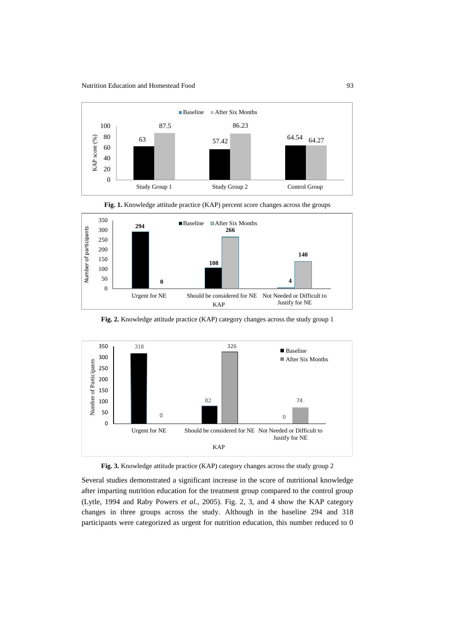



**108**

Fig. 1. Knowledge attitude practice (KAP) percent score changes across the groups



**0 4**

Urgent for NE Should be considered for NE Not Needed or Difficult to



**Fig. 3.** Knowledge attitude practice (KAP) category changes across the study group 2

Several studies demonstrated a significant increase in the score of nutritional knowledge after imparting nutrition education for the treatment group compared to the control group (Lytle, 1994 and Raby Powers *et al.,* 2005). Fig. 2, 3, and 4 show the KAP category changes in three groups across the study. Although in the baseline 294 and 318 participants were categorized as urgent for nutrition education, this number reduced to 0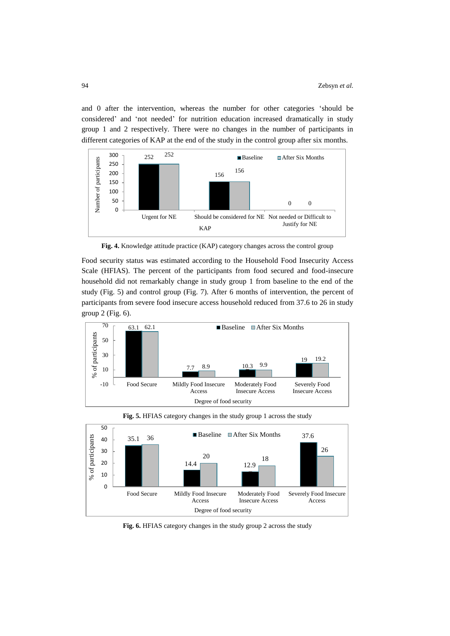and 0 after the intervention, whereas the number for other categories "should be considered" and "not needed" for nutrition education increased dramatically in study group 1 and 2 respectively. There were no changes in the number of participants in different categories of KAP at the end of the study in the control group after six months.



**Fig. 4.** Knowledge attitude practice (KAP) category changes across the control group

Food security status was estimated according to the Household Food Insecurity Access Scale (HFIAS). The percent of the participants from food secured and food-insecure household did not remarkably change in study group 1 from baseline to the end of the study (Fig. 5) and control group (Fig. 7). After 6 months of intervention, the percent of participants from severe food insecure access household reduced from 37.6 to 26 in study group 2 (Fig. 6).



**Fig. 5.** HFIAS category changes in the study group 1 across the study



**Fig. 6.** HFIAS category changes in the study group 2 across the study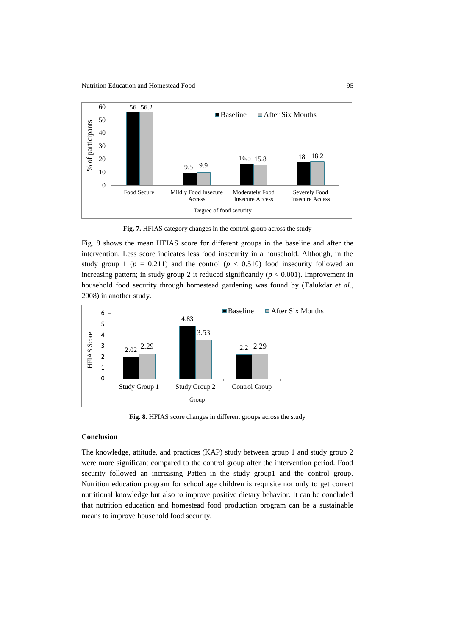

**Fig. 7.** HFIAS category changes in the control group across the study

Fig. 8 shows the mean HFIAS score for different groups in the baseline and after the intervention. Less score indicates less food insecurity in a household. Although, in the study group 1 ( $p = 0.211$ ) and the control ( $p < 0.510$ ) food insecurity followed an increasing pattern; in study group 2 it reduced significantly  $(p < 0.001)$ . Improvement in household food security through homestead gardening was found by (Talukdar *et al.,* 2008) in another study.



**Fig. 8.** HFIAS score changes in different groups across the study

## **Conclusion**

The knowledge, attitude, and practices (KAP) study between group 1 and study group 2 were more significant compared to the control group after the intervention period. Food security followed an increasing Patten in the study group1 and the control group. Nutrition education program for school age children is requisite not only to get correct nutritional knowledge but also to improve positive dietary behavior. It can be concluded that nutrition education and homestead food production program can be a sustainable means to improve household food security.